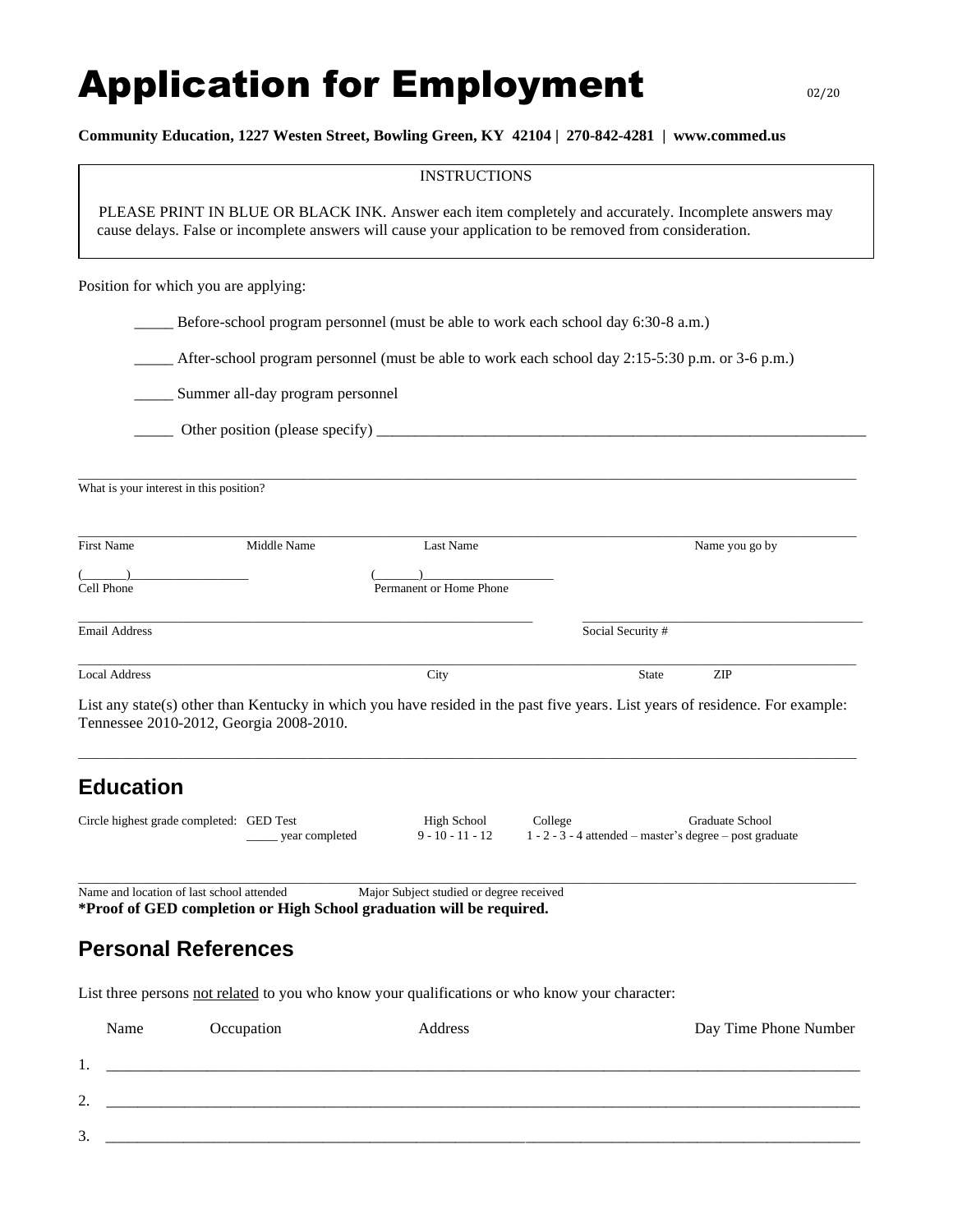## Application for Employment and the original

## **Community Education, 1227 Westen Street, Bowling Green, KY 42104 | 270-842-4281 | www.commed.us**

|                                         |                                                                                                                                                                                                                  | <b>INSTRUCTIONS</b>                      |                                                                                                                               |  |  |  |  |
|-----------------------------------------|------------------------------------------------------------------------------------------------------------------------------------------------------------------------------------------------------------------|------------------------------------------|-------------------------------------------------------------------------------------------------------------------------------|--|--|--|--|
|                                         | PLEASE PRINT IN BLUE OR BLACK INK. Answer each item completely and accurately. Incomplete answers may<br>cause delays. False or incomplete answers will cause your application to be removed from consideration. |                                          |                                                                                                                               |  |  |  |  |
|                                         | Position for which you are applying:                                                                                                                                                                             |                                          |                                                                                                                               |  |  |  |  |
|                                         |                                                                                                                                                                                                                  |                                          | Before-school program personnel (must be able to work each school day 6:30-8 a.m.)                                            |  |  |  |  |
|                                         |                                                                                                                                                                                                                  |                                          | After-school program personnel (must be able to work each school day 2:15-5:30 p.m. or 3-6 p.m.)                              |  |  |  |  |
|                                         | Summer all-day program personnel                                                                                                                                                                                 |                                          |                                                                                                                               |  |  |  |  |
|                                         |                                                                                                                                                                                                                  |                                          |                                                                                                                               |  |  |  |  |
| What is your interest in this position? |                                                                                                                                                                                                                  |                                          |                                                                                                                               |  |  |  |  |
| <b>First Name</b>                       | Middle Name                                                                                                                                                                                                      | Last Name                                | Name you go by                                                                                                                |  |  |  |  |
| Cell Phone                              |                                                                                                                                                                                                                  | Permanent or Home Phone                  |                                                                                                                               |  |  |  |  |
| <b>Email Address</b>                    |                                                                                                                                                                                                                  |                                          | Social Security #                                                                                                             |  |  |  |  |
| <b>Local Address</b>                    |                                                                                                                                                                                                                  | City                                     | ZIP<br><b>State</b>                                                                                                           |  |  |  |  |
|                                         | Tennessee 2010-2012, Georgia 2008-2010.                                                                                                                                                                          |                                          | List any state(s) other than Kentucky in which you have resided in the past five years. List years of residence. For example: |  |  |  |  |
| <b>Education</b>                        |                                                                                                                                                                                                                  |                                          |                                                                                                                               |  |  |  |  |
|                                         | Circle highest grade completed: GED Test<br>year completed                                                                                                                                                       | High School<br>$9 - 10 - 11 - 12$        | <b>Graduate School</b><br>College<br>1 - 2 - 3 - 4 attended – master's degree – post graduate                                 |  |  |  |  |
|                                         | Name and location of last school attended<br>*Proof of GED completion or High School graduation will be required.                                                                                                | Major Subject studied or degree received |                                                                                                                               |  |  |  |  |
|                                         | <b>Personal References</b>                                                                                                                                                                                       |                                          |                                                                                                                               |  |  |  |  |
|                                         | List three persons not related to you who know your qualifications or who know your character:                                                                                                                   |                                          |                                                                                                                               |  |  |  |  |
| Name                                    | Occupation                                                                                                                                                                                                       | Address                                  | Day Time Phone Number                                                                                                         |  |  |  |  |
| 1.                                      |                                                                                                                                                                                                                  |                                          |                                                                                                                               |  |  |  |  |
| 2.                                      |                                                                                                                                                                                                                  |                                          |                                                                                                                               |  |  |  |  |
|                                         |                                                                                                                                                                                                                  |                                          |                                                                                                                               |  |  |  |  |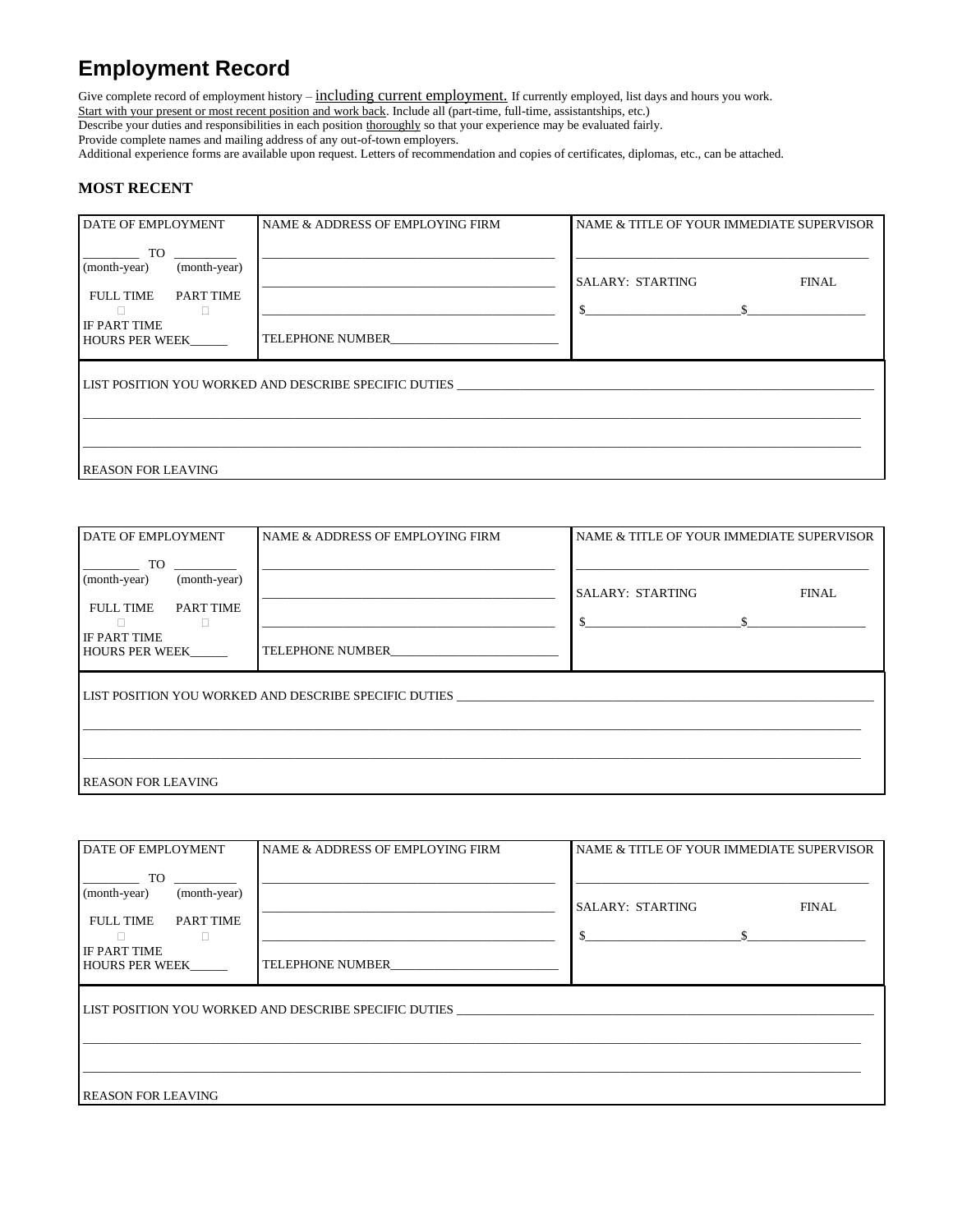## **Employment Record**

Give complete record of employment history - including current employment. If currently employed, list days and hours you work. Start with your present or most recent position and work back. Include all (part-time, full-time, assistantships, etc.)

Describe your duties and responsibilities in each position thoroughly so that your experience may be evaluated fairly.

Provide complete names and mailing address of any out-of-town employers.

Additional experience forms are available upon request. Letters of recommendation and copies of certificates, diplomas, etc., can be attached.

## **MOST RECENT**

| <b>DATE OF EMPLOYMENT</b>                                                                                                                                                                                                                                                                                                         | NAME & ADDRESS OF EMPLOYING FIRM | NAME & TITLE OF YOUR IMMEDIATE SUPERVISOR                                  |  |  |  |  |  |  |
|-----------------------------------------------------------------------------------------------------------------------------------------------------------------------------------------------------------------------------------------------------------------------------------------------------------------------------------|----------------------------------|----------------------------------------------------------------------------|--|--|--|--|--|--|
| TO THE STATE OF THE STATE OF THE STATE OF THE STATE OF THE STATE OF THE STATE OF THE STATE OF THE STATE OF THE STATE OF THE STATE OF THE STATE OF THE STATE OF THE STATE OF THE STATE OF THE STATE OF THE STATE OF THE STATE O<br>(month-year)<br>(month-year)<br><b>FULL TIME</b><br>PART TIME<br>IF PART TIME<br>HOURS PER WEEK | TELEPHONE NUMBER                 | <b>SALARY: STARTING</b><br><b>FINAL</b><br>$\mathbb{S}$ s and $\mathbb{S}$ |  |  |  |  |  |  |
| LIST POSITION YOU WORKED AND DESCRIBE SPECIFIC DUTIES                                                                                                                                                                                                                                                                             |                                  |                                                                            |  |  |  |  |  |  |
| <b>REASON FOR LEAVING</b>                                                                                                                                                                                                                                                                                                         |                                  |                                                                            |  |  |  |  |  |  |

| DATE OF EMPLOYMENT                                                                                    | NAME & ADDRESS OF EMPLOYING FIRM | NAME & TITLE OF YOUR IMMEDIATE SUPERVISOR                     |  |  |  |  |  |  |
|-------------------------------------------------------------------------------------------------------|----------------------------------|---------------------------------------------------------------|--|--|--|--|--|--|
| TO<br>(month-year)<br>(month-year)<br><b>FULL TIME</b><br>PART TIME<br>IF PART TIME<br>HOURS PER WEEK | TELEPHONE NUMBER                 | <b>SALARY: STARTING</b><br><b>FINAL</b><br>$\mathbf{\hat{s}}$ |  |  |  |  |  |  |
| LIST POSITION YOU WORKED AND DESCRIBE SPECIFIC DUTIES                                                 |                                  |                                                               |  |  |  |  |  |  |
| <b>REASON FOR LEAVING</b>                                                                             |                                  |                                                               |  |  |  |  |  |  |

| DATE OF EMPLOYMENT                                                                   | NAME & ADDRESS OF EMPLOYING FIRM | NAME & TITLE OF YOUR IMMEDIATE SUPERVISOR |  |  |  |  |  |
|--------------------------------------------------------------------------------------|----------------------------------|-------------------------------------------|--|--|--|--|--|
| TO.<br>(month-year)<br>(month-year)<br><b>FULL TIME</b><br>PART TIME<br>IF PART TIME |                                  | <b>SALARY: STARTING</b><br><b>FINAL</b>   |  |  |  |  |  |
| <b>HOURS PER WEEK</b>                                                                | TELEPHONE NUMBER                 |                                           |  |  |  |  |  |
| LIST POSITION YOU WORKED AND DESCRIBE SPECIFIC DUTIES                                |                                  |                                           |  |  |  |  |  |
|                                                                                      |                                  |                                           |  |  |  |  |  |
| <b>REASON FOR LEAVING</b>                                                            |                                  |                                           |  |  |  |  |  |